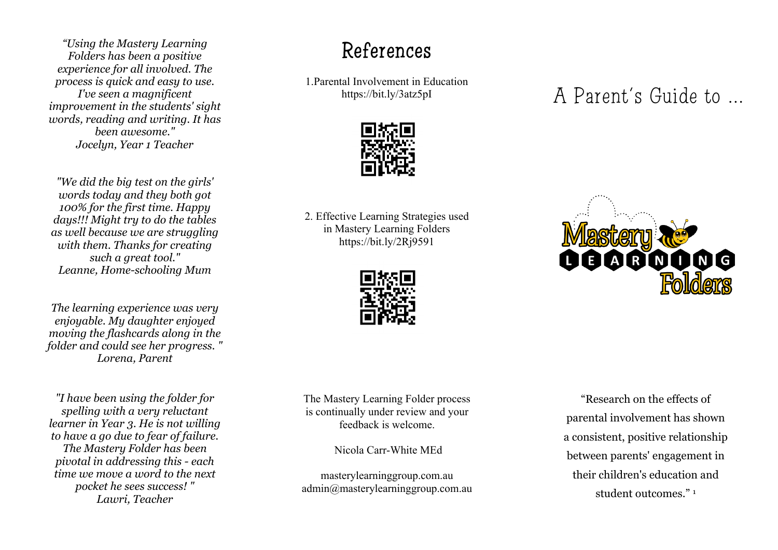*"Using the Mastery Learning Folders has been a positive experience for all involved. The process is quick and easy to use. I've seen a magnificent improvement in the students' sight words, reading and writing. It has been awesome." Jocelyn, Year 1 Teacher*

*"We did the big test on the girls' words today and they both got 100% for the first time. Happy days!!! Might try to do the tables as well because we are struggling with them. Thanks for creating such a great tool." Leanne, Home-schooling Mum*

*The learning experience was very enjoyable. My daughter enjoyed moving the flashcards along in the folder and could see her progress. " Lorena, Parent*

*"I have been using the folder for spelling with a very reluctant learner in Year 3. He is not willing to have a go due to fear of failure. The Mastery Folder has been pivotal in addressing this - each time we move a word to the next pocket he sees success! " Lawri, Teacher*

### References

1.Parental Involvement in Education https://bit.ly/3atz5pI



2. Effective Learning Strategies used in Mastery Learning Folders https://bit.ly/2Rj9591



The Mastery Learning Folder process is continually under review and your feedback is welcome.

Nicola Carr-White MEd

masterylearninggroup.com.au admin@masterylearninggroup.com.au A Parent's Guide to …

R

"Research on the effects of parental involvement has shown a consistent, positive relationship between parents' engagement in their children's education and student outcomes<sup>"</sup><sup>1</sup>